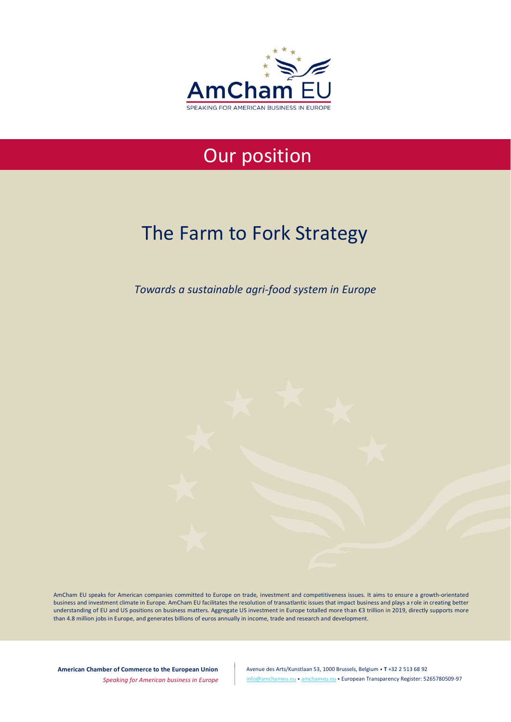

## Our position

# The Farm to Fork Strategy

*Towards a sustainable agri-food system in Europe*

AmCham EU speaks for American companies committed to Europe on trade, investment and competitiveness issues. It aims to ensure a growth-orientated business and investment climate in Europe. AmCham EU facilitates the resolution of transatlantic issues that impact business and plays a role in creating better understanding of EU and US positions on business matters. Aggregate US investment in Europe totalled more than €3 trillion in 2019, directly supports more than 4.8 million jobs in Europe, and generates billions of euros annually in income, trade and research and development.

**American Chamber of Commerce to the European Union**

*Speaking for American business in Europe*

Avenue des Arts/Kunstlaan 53, 1000 Brussels, Belgium • **T** +32 2 513 68 92 [info@amchameu.eu](mailto:info@amchameu.eu) • [amchameu.eu](http://www.amchameu.eu/) • European Transparency Register: 5265780509-97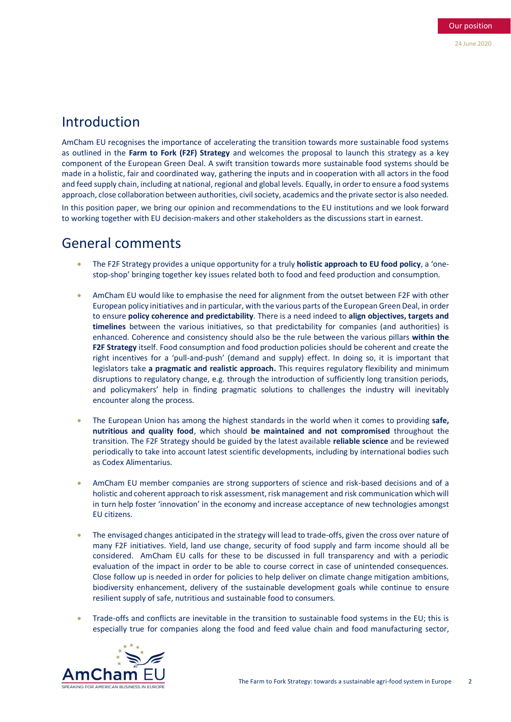## Introduction

AmCham EU recognises the importance of accelerating the transition towards more sustainable food systems as outlined in the **Farm to Fork (F2F) Strategy** and welcomes the proposal to launch this strategy as a key component of the European Green Deal. A swift transition towards more sustainable food systems should be made in a holistic, fair and coordinated way, gathering the inputs and in cooperation with all actors in the food and feed supply chain, including at national, regional and global levels. Equally, in order to ensure a food systems approach, close collaboration between authorities, civil society, academics and the private sector is also needed.

In this position paper, we bring our opinion and recommendations to the EU institutions and we look forward to working together with EU decision-makers and other stakeholders as the discussions start in earnest.

### General comments

- The F2F Strategy provides a unique opportunity for a truly **holistic approach to EU food policy**, a 'onestop-shop' bringing together key issues related both to food and feed production and consumption.
- AmCham EU would like to emphasise the need for alignment from the outset between F2F with other European policy initiatives and in particular, with the various parts of the European Green Deal, in order to ensure **policy coherence and predictability**. There is a need indeed to **align objectives, targets and timelines** between the various initiatives, so that predictability for companies (and authorities) is enhanced. Coherence and consistency should also be the rule between the various pillars **within the F2F Strategy** itself. Food consumption and food production policies should be coherent and create the right incentives for a 'pull-and-push' (demand and supply) effect. In doing so, it is important that legislators take **a pragmatic and realistic approach.** This requires regulatory flexibility and minimum disruptions to regulatory change, e.g. through the introduction of sufficiently long transition periods, and policymakers' help in finding pragmatic solutions to challenges the industry will inevitably encounter along the process.
- The European Union has among the highest standards in the world when it comes to providing **safe, nutritious and quality food**, which should **be maintained and not compromised** throughout the transition. The F2F Strategy should be guided by the latest available **reliable science** and be reviewed periodically to take into account latest scientific developments, including by international bodies such as Codex Alimentarius.
- AmCham EU member companies are strong supporters of science and risk-based decisions and of a holistic and coherent approach to risk assessment, risk management and risk communication which will in turn help foster 'innovation' in the economy and increase acceptance of new technologies amongst EU citizens.
- The envisaged changes anticipated in the strategy will lead to trade-offs, given the cross over nature of many F2F initiatives. Yield, land use change, security of food supply and farm income should all be considered. AmCham EU calls for these to be discussed in full transparency and with a periodic evaluation of the impact in order to be able to course correct in case of unintended consequences. Close follow up is needed in order for policies to help deliver on climate change mitigation ambitions, biodiversity enhancement, delivery of the sustainable development goals while continue to ensure resilient supply of safe, nutritious and sustainable food to consumers.
- Trade-offs and conflicts are inevitable in the transition to sustainable food systems in the EU; this is especially true for companies along the food and feed value chain and food manufacturing sector,

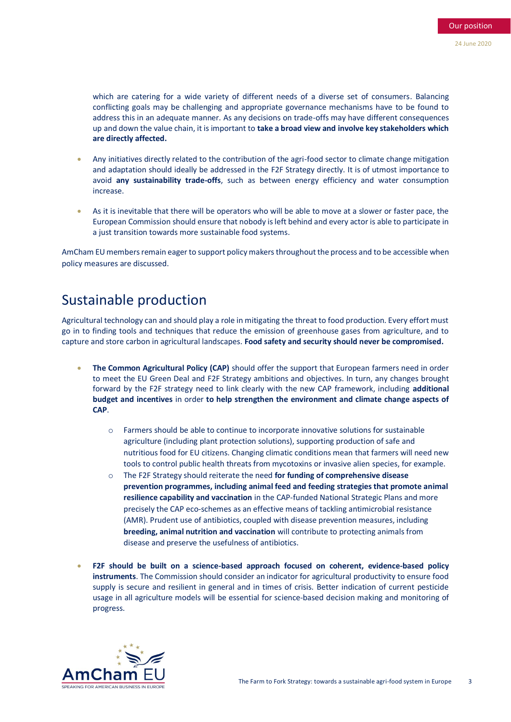which are catering for a wide variety of different needs of a diverse set of consumers. Balancing conflicting goals may be challenging and appropriate governance mechanisms have to be found to address this in an adequate manner. As any decisions on trade-offs may have different consequences up and down the value chain, it is important to **take a broad view and involve key stakeholders which are directly affected.**

- Any initiatives directly related to the contribution of the agri-food sector to climate change mitigation and adaptation should ideally be addressed in the F2F Strategy directly. It is of utmost importance to avoid **any sustainability trade-offs**, such as between energy efficiency and water consumption increase.
- As it is inevitable that there will be operators who will be able to move at a slower or faster pace, the European Commission should ensure that nobody is left behind and every actor is able to participate in a just transition towards more sustainable food systems.

AmCham EU members remain eager to support policy makers throughout the process and to be accessible when policy measures are discussed.

## Sustainable production

Agricultural technology can and should play a role in mitigating the threat to food production. Every effort must go in to finding tools and techniques that reduce the emission of greenhouse gases from agriculture, and to capture and store carbon in agricultural landscapes. **Food safety and security should never be compromised.**

- **The Common Agricultural Policy (CAP)** should offer the support that European farmers need in order to meet the EU Green Deal and F2F Strategy ambitions and objectives. In turn, any changes brought forward by the F2F strategy need to link clearly with the new CAP framework, including **additional budget and incentives** in order **to help strengthen the environment and climate change aspects of CAP**.
	- o Farmers should be able to continue to incorporate innovative solutions for sustainable agriculture (including plant protection solutions), supporting production of safe and nutritious food for EU citizens. Changing climatic conditions mean that farmers will need new tools to control public health threats from mycotoxins or invasive alien species, for example.
	- o The F2F Strategy should reiterate the need **for funding of comprehensive disease prevention programmes, including animal feed and feeding strategies that promote animal resilience capability and vaccination** in the CAP-funded National Strategic Plans and more precisely the CAP eco-schemes as an effective means of tackling antimicrobial resistance (AMR). Prudent use of antibiotics, coupled with disease prevention measures, including **breeding, animal nutrition and vaccination** will contribute to protecting animals from disease and preserve the usefulness of antibiotics.
- **F2F should be built on a science-based approach focused on coherent, evidence-based policy instruments**. The Commission should consider an indicator for agricultural productivity to ensure food supply is secure and resilient in general and in times of crisis. Better indication of current pesticide usage in all agriculture models will be essential for science-based decision making and monitoring of progress.

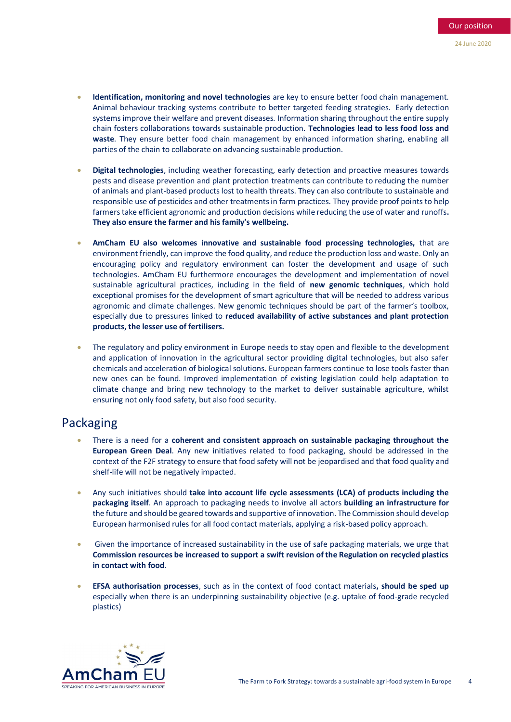- **Identification, monitoring and novel technologies** are key to ensure better food chain management. Animal behaviour tracking systems contribute to better targeted feeding strategies. Early detection systems improve their welfare and prevent diseases. Information sharing throughout the entire supply chain fosters collaborations towards sustainable production. **Technologies lead to less food loss and waste**. They ensure better food chain management by enhanced information sharing, enabling all parties of the chain to collaborate on advancing sustainable production.
- **Digital technologies**, including weather forecasting, early detection and proactive measures towards pests and disease prevention and plant protection treatments can contribute to reducing the number of animals and plant-based products lost to health threats. They can also contribute to sustainable and responsible use of pesticides and other treatments in farm practices. They provide proof points to help farmers take efficient agronomic and production decisions while reducing the use of water and runoffs**. They also ensure the farmer and his family's wellbeing.**
- **AmCham EU also welcomes innovative and sustainable food processing technologies,** that are environment friendly, can improve the food quality, and reduce the production loss and waste. Only an encouraging policy and regulatory environment can foster the development and usage of such technologies. AmCham EU furthermore encourages the development and implementation of novel sustainable agricultural practices, including in the field of **new genomic techniques**, which hold exceptional promises for the development of smart agriculture that will be needed to address various agronomic and climate challenges. New genomic techniques should be part of the farmer's toolbox, especially due to pressures linked to **reduced availability of active substances and plant protection products, the lesser use of fertilisers.**
- The regulatory and policy environment in Europe needs to stay open and flexible to the development and application of innovation in the agricultural sector providing digital technologies, but also safer chemicals and acceleration of biological solutions. European farmers continue to lose tools faster than new ones can be found. Improved implementation of existing legislation could help adaptation to climate change and bring new technology to the market to deliver sustainable agriculture, whilst ensuring not only food safety, but also food security.

#### Packaging

- There is a need for a **coherent and consistent approach on sustainable packaging throughout the European Green Deal**. Any new initiatives related to food packaging, should be addressed in the context of the F2F strategy to ensure that food safety will not be jeopardised and that food quality and shelf-life will not be negatively impacted.
- Any such initiatives should **take into account life cycle assessments (LCA) of products including the packaging itself**. An approach to packaging needs to involve all actors **building an infrastructure for**  the future and should be geared towards and supportive of innovation. The Commission should develop European harmonised rules for all food contact materials, applying a risk-based policy approach.
- Given the importance of increased sustainability in the use of safe packaging materials, we urge that **Commission resources be increased to support a swift revision of the Regulation on recycled plastics in contact with food**.
- **EFSA authorisation processes**, such as in the context of food contact materials**, should be sped up**  especially when there is an underpinning sustainability objective (e.g. uptake of food-grade recycled plastics)

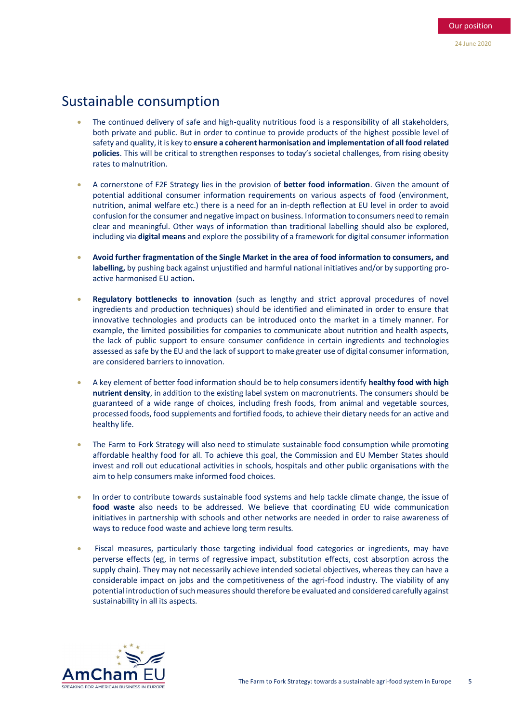## Sustainable consumption

- The continued delivery of safe and high-quality nutritious food is a responsibility of all stakeholders, both private and public. But in order to continue to provide products of the highest possible level of safety and quality, it is key to **ensure a coherent harmonisation and implementation of all food related policies**. This will be critical to strengthen responses to today's societal challenges, from rising obesity rates to malnutrition.
- A cornerstone of F2F Strategy lies in the provision of **better food information**. Given the amount of potential additional consumer information requirements on various aspects of food (environment, nutrition, animal welfare etc.) there is a need for an in-depth reflection at EU level in order to avoid confusion for the consumer and negative impact on business. Information to consumers need to remain clear and meaningful. Other ways of information than traditional labelling should also be explored, including via **digital means** and explore the possibility of a framework for digital consumer information
- **Avoid further fragmentation of the Single Market in the area of food information to consumers, and labelling,** by pushing back against unjustified and harmful national initiatives and/or by supporting proactive harmonised EU action**.**
- **Regulatory bottlenecks to innovation** (such as lengthy and strict approval procedures of novel ingredients and production techniques) should be identified and eliminated in order to ensure that innovative technologies and products can be introduced onto the market in a timely manner. For example, the limited possibilities for companies to communicate about nutrition and health aspects, the lack of public support to ensure consumer confidence in certain ingredients and technologies assessed as safe by the EU and the lack of support to make greater use of digital consumer information, are considered barriers to innovation.
- A key element of better food information should be to help consumers identify **healthy food with high nutrient density**, in addition to the existing label system on macronutrients. The consumers should be guaranteed of a wide range of choices, including fresh foods, from animal and vegetable sources, processed foods, food supplements and fortified foods, to achieve their dietary needs for an active and healthy life.
- The Farm to Fork Strategy will also need to stimulate sustainable food consumption while promoting affordable healthy food for all. To achieve this goal, the Commission and EU Member States should invest and roll out educational activities in schools, hospitals and other public organisations with the aim to help consumers make informed food choices.
- In order to contribute towards sustainable food systems and help tackle climate change, the issue of **food waste** also needs to be addressed. We believe that coordinating EU wide communication initiatives in partnership with schools and other networks are needed in order to raise awareness of ways to reduce food waste and achieve long term results.
- Fiscal measures, particularly those targeting individual food categories or ingredients, may have perverse effects (eg, in terms of regressive impact, substitution effects, cost absorption across the supply chain). They may not necessarily achieve intended societal objectives, whereas they can have a considerable impact on jobs and the competitiveness of the agri-food industry. The viability of any potential introduction of such measures should therefore be evaluated and considered carefully against sustainability in all its aspects.

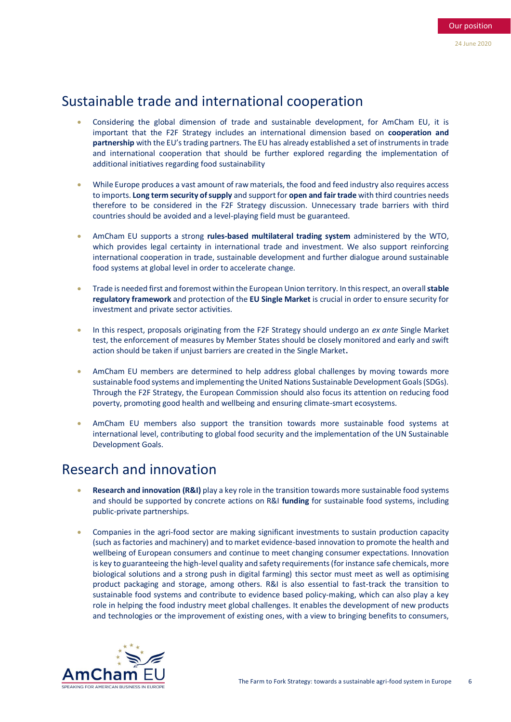## Sustainable trade and international cooperation

- Considering the global dimension of trade and sustainable development, for AmCham EU, it is important that the F2F Strategy includes an international dimension based on **cooperation and partnership** with the EU's trading partners. The EU has already established a set of instruments in trade and international cooperation that should be further explored regarding the implementation of additional initiatives regarding food sustainability
- While Europe produces a vast amount of raw materials, the food and feed industry also requires access to imports. **Long term security of supply** and support for **open and fair trade** with third countries needs therefore to be considered in the F2F Strategy discussion. Unnecessary trade barriers with third countries should be avoided and a level-playing field must be guaranteed.
- AmCham EU supports a strong **rules-based multilateral trading system** administered by the WTO, which provides legal certainty in international trade and investment. We also support reinforcing international cooperation in trade, sustainable development and further dialogue around sustainable food systems at global level in order to accelerate change.
- Trade is needed first and foremost within the European Union territory. In this respect, an overall **stable regulatory framework** and protection of the **EU Single Market** is crucial in order to ensure security for investment and private sector activities.
- In this respect, proposals originating from the F2F Strategy should undergo an *ex ante* Single Market test, the enforcement of measures by Member States should be closely monitored and early and swift action should be taken if unjust barriers are created in the Single Market**.**
- AmCham EU members are determined to help address global challenges by moving towards more sustainable food systems and implementing the United Nations Sustainable Development Goals (SDGs). Through the F2F Strategy, the European Commission should also focus its attention on reducing food poverty, promoting good health and wellbeing and ensuring climate-smart ecosystems.
- AmCham EU members also support the transition towards more sustainable food systems at international level, contributing to global food security and the implementation of the UN Sustainable Development Goals.

## Research and innovation

- **Research and innovation (R&I)** play a key role in the transition towards more sustainable food systems and should be supported by concrete actions on R&I **funding** for sustainable food systems, including public-private partnerships.
- Companies in the agri-food sector are making significant investments to sustain production capacity (such as factories and machinery) and to market evidence-based innovation to promote the health and wellbeing of European consumers and continue to meet changing consumer expectations. Innovation is key to guaranteeing the high-level quality and safety requirements (for instance safe chemicals, more biological solutions and a strong push in digital farming) this sector must meet as well as optimising product packaging and storage, among others. R&I is also essential to fast-track the transition to sustainable food systems and contribute to evidence based policy-making, which can also play a key role in helping the food industry meet global challenges. It enables the development of new products and technologies or the improvement of existing ones, with a view to bringing benefits to consumers,